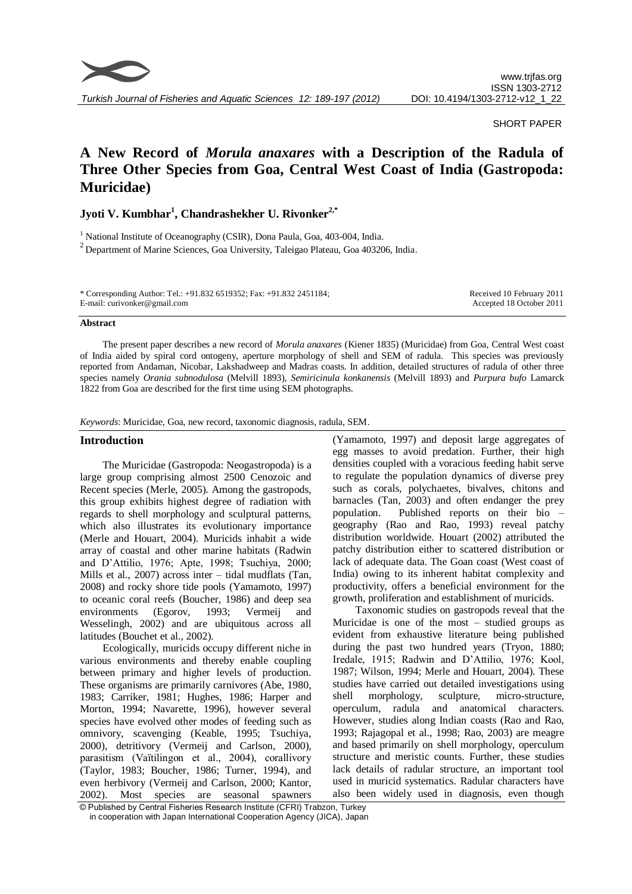

SHORT PAPER

# **A New Record of** *Morula anaxares* **with a Description of the Radula of Three Other Species from Goa, Central West Coast of India (Gastropoda: Muricidae)**

## **Jyoti V. Kumbhar<sup>1</sup> , Chandrashekher U. Rivonker2,\***

<sup>1</sup> National Institute of Oceanography (CSIR), Dona Paula, Goa, 403-004, India.  $2$  Department of Marine Sciences, Goa University, Taleigao Plateau, Goa 403206, India.

| * Corresponding Author: Tel.: +91.832 6519352; Fax: +91.832 2451184; | Received 10 February 2011 |
|----------------------------------------------------------------------|---------------------------|
| E-mail: curivonker@gmail.com                                         | Accepted 18 October 2011  |
|                                                                      |                           |

#### **Abstract**

The present paper describes a new record of *Morula anaxares* (Kiener 1835) (Muricidae) from Goa, Central West coast of India aided by spiral cord ontogeny, aperture morphology of shell and SEM of radula. This species was previously reported from Andaman, Nicobar, Lakshadweep and Madras coasts. In addition, detailed structures of radula of other three species namely *Orania subnodulosa* (Melvill 1893), *Semiricinula konkanensis* (Melvill 1893) and *Purpura bufo* Lamarck 1822 from Goa are described for the first time using SEM photographs.

*Keywords*: Muricidae, Goa, new record, taxonomic diagnosis, radula, SEM.

### **Introduction**

The Muricidae (Gastropoda: Neogastropoda) is a large group comprising almost 2500 Cenozoic and Recent species (Merle, 2005). Among the gastropods, this group exhibits highest degree of radiation with regards to shell morphology and sculptural patterns, which also illustrates its evolutionary importance (Merle and Houart, 2004). Muricids inhabit a wide array of coastal and other marine habitats (Radwin and D'Attilio, 1976; Apte, 1998; Tsuchiya, 2000; Mills et al*.*, 2007) across inter – tidal mudflats (Tan, 2008) and rocky shore tide pools (Yamamoto, 1997) to oceanic coral reefs (Boucher, 1986) and deep sea environments (Egorov, 1993; Vermeij and Wesselingh, 2002) and are ubiquitous across all latitudes (Bouchet et al*.*, 2002).

Ecologically, muricids occupy different niche in various environments and thereby enable coupling between primary and higher levels of production. These organisms are primarily carnivores (Abe, 1980, 1983; Carriker, 1981; Hughes, 1986; Harper and Morton, 1994; Navarette, 1996), however several species have evolved other modes of feeding such as omnivory, scavenging (Keable, 1995; Tsuchiya, 2000), detritivory (Vermeij and Carlson, 2000), parasitism (Vaïtilingon et al., 2004), corallivory (Taylor, 1983; Boucher, 1986; Turner, 1994), and even herbivory (Vermeij and Carlson, 2000; Kantor, 2002). Most species are seasonal spawners

(Yamamoto, 1997) and deposit large aggregates of egg masses to avoid predation. Further, their high densities coupled with a voracious feeding habit serve to regulate the population dynamics of diverse prey such as corals, polychaetes, bivalves, chitons and barnacles (Tan, 2003) and often endanger the prey population. Published reports on their bio – geography (Rao and Rao, 1993) reveal patchy distribution worldwide. Houart (2002) attributed the patchy distribution either to scattered distribution or lack of adequate data. The Goan coast (West coast of India) owing to its inherent habitat complexity and productivity, offers a beneficial environment for the growth, proliferation and establishment of muricids.

Taxonomic studies on gastropods reveal that the Muricidae is one of the most – studied groups as evident from exhaustive literature being published during the past two hundred years (Tryon, 1880; Iredale, 1915; Radwin and D'Attilio, 1976; Kool, 1987; Wilson, 1994; Merle and Houart, 2004). These studies have carried out detailed investigations using shell morphology, sculpture, micro-structure, operculum, radula and anatomical characters. However, studies along Indian coasts (Rao and Rao, 1993; Rajagopal et al., 1998; Rao, 2003) are meagre and based primarily on shell morphology, operculum structure and meristic counts. Further, these studies lack details of radular structure, an important tool used in muricid systematics. Radular characters have also been widely used in diagnosis, even though

<sup>©</sup> Published by Central Fisheries Research Institute (CFRI) Trabzon, Turkey in cooperation with Japan International Cooperation Agency (JICA), Japan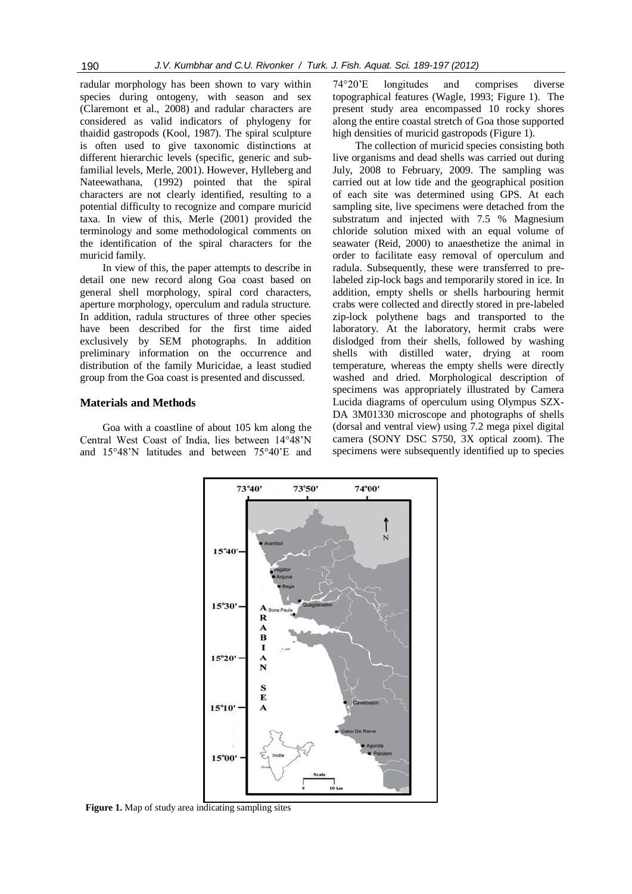radular morphology has been shown to vary within species during ontogeny, with season and sex (Claremont et al., 2008) and radular characters are considered as valid indicators of phylogeny for thaidid gastropods (Kool, 1987). The spiral sculpture is often used to give taxonomic distinctions at different hierarchic levels (specific, generic and subfamilial levels, Merle, 2001). However, Hylleberg and Nateewathana, (1992) pointed that the spiral characters are not clearly identified, resulting to a potential difficulty to recognize and compare muricid taxa. In view of this, Merle (2001) provided the terminology and some methodological comments on the identification of the spiral characters for the muricid family.

In view of this, the paper attempts to describe in detail one new record along Goa coast based on general shell morphology, spiral cord characters, aperture morphology, operculum and radula structure. In addition, radula structures of three other species have been described for the first time aided exclusively by SEM photographs. In addition preliminary information on the occurrence and distribution of the family Muricidae, a least studied group from the Goa coast is presented and discussed.

### **Materials and Methods**

Goa with a coastline of about 105 km along the Central West Coast of India, lies between 14°48'N and 15°48'N latitudes and between 75°40'E and

74°20'E longitudes and comprises diverse topographical features (Wagle, 1993; Figure 1). The present study area encompassed 10 rocky shores along the entire coastal stretch of Goa those supported high densities of muricid gastropods (Figure 1).

The collection of muricid species consisting both live organisms and dead shells was carried out during July, 2008 to February, 2009. The sampling was carried out at low tide and the geographical position of each site was determined using GPS. At each sampling site, live specimens were detached from the substratum and injected with 7.5 % Magnesium chloride solution mixed with an equal volume of seawater (Reid, 2000) to anaesthetize the animal in order to facilitate easy removal of operculum and radula. Subsequently, these were transferred to prelabeled zip-lock bags and temporarily stored in ice. In addition, empty shells or shells harbouring hermit crabs were collected and directly stored in pre-labeled zip-lock polythene bags and transported to the laboratory. At the laboratory, hermit crabs were dislodged from their shells, followed by washing shells with distilled water, drying at room temperature, whereas the empty shells were directly washed and dried. Morphological description of specimens was appropriately illustrated by Camera Lucida diagrams of operculum using Olympus SZX-DA 3M01330 microscope and photographs of shells (dorsal and ventral view) using 7.2 mega pixel digital camera (SONY DSC S750, 3X optical zoom). The specimens were subsequently identified up to species



**Figure 1.** Map of study area indicating sampling sites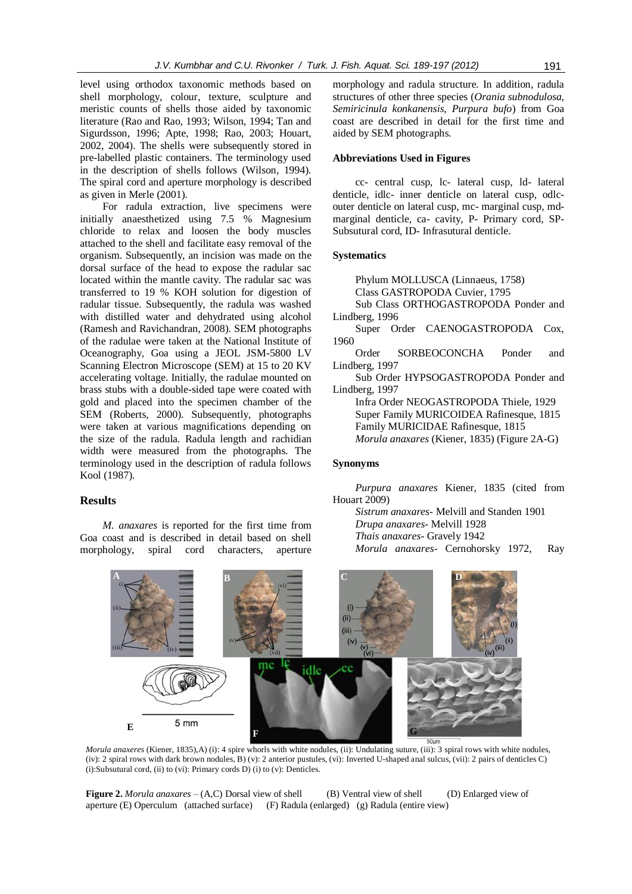level using orthodox taxonomic methods based on shell morphology, colour, texture, sculpture and meristic counts of shells those aided by taxonomic literature (Rao and Rao, 1993; Wilson, 1994; Tan and Sigurdsson, 1996; Apte, 1998; Rao, 2003; Houart, 2002, 2004). The shells were subsequently stored in pre-labelled plastic containers. The terminology used in the description of shells follows (Wilson, 1994). The spiral cord and aperture morphology is described as given in Merle (2001).

For radula extraction, live specimens were initially anaesthetized using 7.5 % Magnesium chloride to relax and loosen the body muscles attached to the shell and facilitate easy removal of the organism. Subsequently, an incision was made on the dorsal surface of the head to expose the radular sac located within the mantle cavity. The radular sac was transferred to 19 % KOH solution for digestion of radular tissue. Subsequently, the radula was washed with distilled water and dehydrated using alcohol (Ramesh and Ravichandran, 2008). SEM photographs of the radulae were taken at the National Institute of Oceanography, Goa using a JEOL JSM-5800 LV Scanning Electron Microscope (SEM) at 15 to 20 KV accelerating voltage. Initially, the radulae mounted on brass stubs with a double-sided tape were coated with gold and placed into the specimen chamber of the SEM (Roberts, 2000). Subsequently, photographs were taken at various magnifications depending on the size of the radula. Radula length and rachidian width were measured from the photographs. The terminology used in the description of radula follows Kool (1987).

### **Results**

*M. anaxares* is reported for the first time from Goa coast and is described in detail based on shell morphology, spiral cord characters, aperture

morphology and radula structure. In addition, radula structures of other three species (*Orania subnodulosa, Semiricinula konkanensis, Purpura bufo*) from Goa coast are described in detail for the first time and aided by SEM photographs.

### **Abbreviations Used in Figures**

cc- central cusp, lc- lateral cusp, ld- lateral denticle, idlc- inner denticle on lateral cusp, odlcouter denticle on lateral cusp, mc- marginal cusp, mdmarginal denticle, ca- cavity, P- Primary cord, SP-Subsutural cord, ID- Infrasutural denticle.

#### **Systematics**

Phylum MOLLUSCA (Linnaeus, 1758) Class GASTROPODA Cuvier, 1795 Sub Class ORTHOGASTROPODA Ponder and Lindberg, 1996 Super Order CAENOGASTROPODA Cox, 1960 Order SORBEOCONCHA Ponder and Lindberg, 1997 Sub Order HYPSOGASTROPODA Ponder and Lindberg, 1997 Infra Order NEOGASTROPODA Thiele, 1929 Super Family MURICOIDEA Rafinesque, 1815 Family MURICIDAE Rafinesque, 1815 *Morula anaxares* (Kiener, 1835) (Figure 2A-G)

### **Synonyms**

*Purpura anaxares* Kiener, 1835 (cited from Houart 2009)

*Sistrum anaxares*- Melvill and Standen 1901 *Drupa anaxares*- Melvill 1928 *Thais anaxares*- Gravely 1942 *Morula anaxares*- Cernohorsky 1972, Ray



*Morula anaxeres* (Kiener, 1835),A) (i): 4 spire whorls with white nodules, (ii): Undulating suture, (iii): 3 spiral rows with white nodules, (iv): 2 spiral rows with dark brown nodules, B) (v): 2 anterior pustules, (vi): Inverted U-shaped anal sulcus, (vii): 2 pairs of denticles C) (i):Subsutural cord, (ii) to (vi): Primary cords D) (i) to (v): Denticles.

**Figure 2.** *Morula anaxares* – (A,C) Dorsal view of shell (B) Ventral view of shell (D) Enlarged view of aperture (E) Operculum (attached surface) (F) Radula (enlarged) (g) Radula (entire view)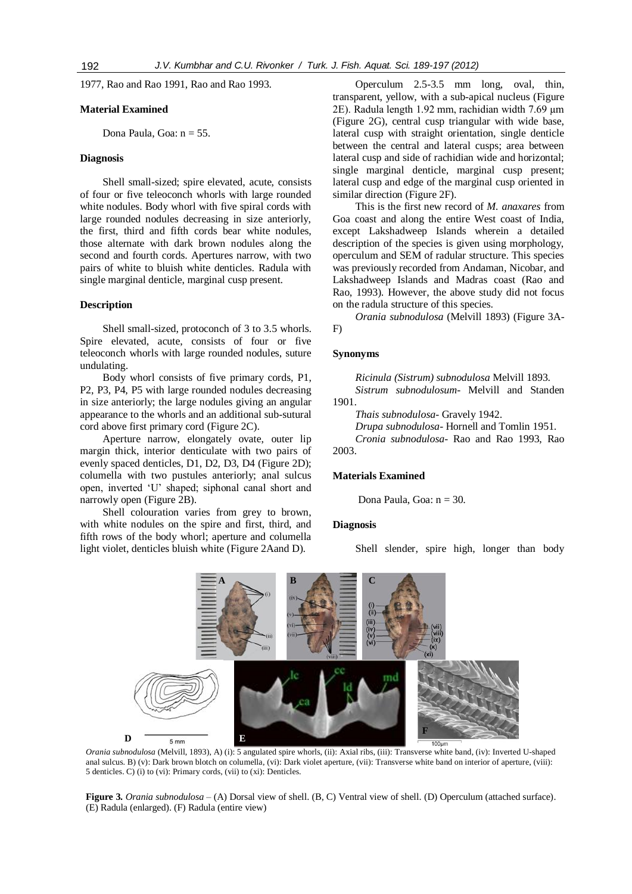1977, Rao and Rao 1991, Rao and Rao 1993.

#### **Material Examined**

Dona Paula, Goa:  $n = 55$ .

### **Diagnosis**

Shell small-sized; spire elevated, acute, consists of four or five teleoconch whorls with large rounded white nodules. Body whorl with five spiral cords with large rounded nodules decreasing in size anteriorly, the first, third and fifth cords bear white nodules, those alternate with dark brown nodules along the second and fourth cords. Apertures narrow, with two pairs of white to bluish white denticles. Radula with single marginal denticle, marginal cusp present.

### **Description**

Shell small-sized, protoconch of 3 to 3.5 whorls. Spire elevated, acute, consists of four or five teleoconch whorls with large rounded nodules, suture undulating.

Body whorl consists of five primary cords, P1, P2, P3, P4, P5 with large rounded nodules decreasing in size anteriorly; the large nodules giving an angular appearance to the whorls and an additional sub-sutural cord above first primary cord (Figure 2C).

Aperture narrow, elongately ovate, outer lip margin thick, interior denticulate with two pairs of evenly spaced denticles, D1, D2, D3, D4 (Figure 2D); columella with two pustules anteriorly; anal sulcus open, inverted 'U' shaped; siphonal canal short and narrowly open (Figure 2B).

Shell colouration varies from grey to brown, with white nodules on the spire and first, third, and fifth rows of the body whorl; aperture and columella light violet, denticles bluish white (Figure 2Aand D).

Operculum 2.5-3.5 mm long, oval, thin, transparent, yellow, with a sub-apical nucleus (Figure 2E). Radula length 1.92 mm, rachidian width 7.69 µm (Figure 2G), central cusp triangular with wide base, lateral cusp with straight orientation, single denticle between the central and lateral cusps; area between lateral cusp and side of rachidian wide and horizontal; single marginal denticle, marginal cusp present; lateral cusp and edge of the marginal cusp oriented in similar direction (Figure 2F).

This is the first new record of *M. anaxares* from Goa coast and along the entire West coast of India, except Lakshadweep Islands wherein a detailed description of the species is given using morphology, operculum and SEM of radular structure. This species was previously recorded from Andaman, Nicobar, and Lakshadweep Islands and Madras coast (Rao and Rao, 1993). However, the above study did not focus on the radula structure of this species.

*Orania subnodulosa* (Melvill 1893) (Figure 3A-F)

#### **Synonyms**

*Ricinula (Sistrum) subnodulosa* Melvill 1893. *Sistrum subnodulosum*- Melvill and Standen 1901.

*Thais subnodulosa*- Gravely 1942.

*Drupa subnodulosa*- Hornell and Tomlin 1951.

*Cronia subnodulosa*- Rao and Rao 1993, Rao 2003.

### **Materials Examined**

Dona Paula, Goa: n = 30.

#### **Diagnosis**

Shell slender, spire high, longer than body



*Orania subnodulosa* (Melvill, 1893), A) (i): 5 angulated spire whorls, (ii): Axial ribs, (iii): Transverse white band, (iv): Inverted U-shaped anal sulcus. B) (v): Dark brown blotch on columella, (vi): Dark violet aperture, (vii): Transverse white band on interior of aperture, (viii): 5 denticles. C) (i) to (vi): Primary cords, (vii) to (xi): Denticles.

**Figure 3.** *Orania subnodulosa* – (A) Dorsal view of shell. (B, C) Ventral view of shell. (D) Operculum (attached surface). (E) Radula (enlarged). (F) Radula (entire view)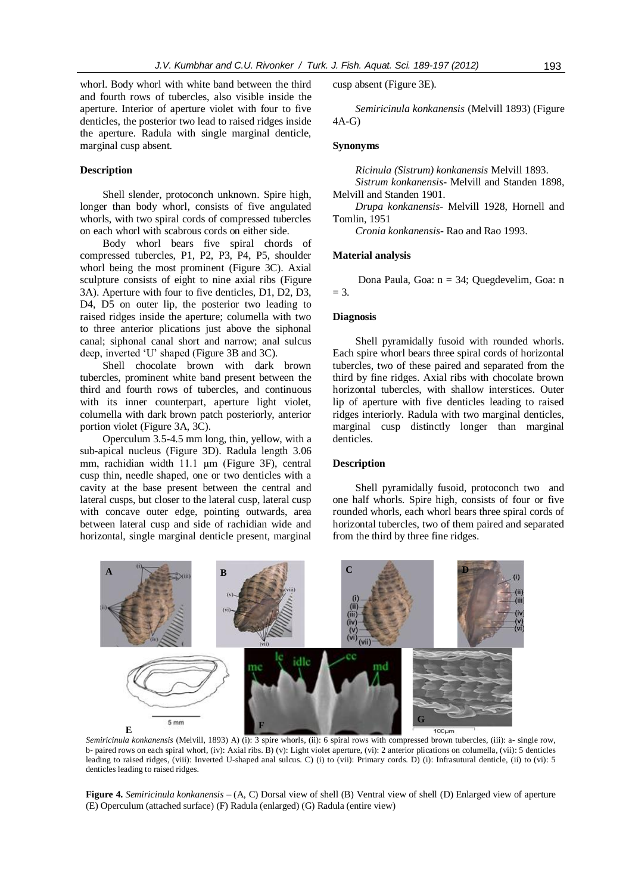whorl. Body whorl with white band between the third and fourth rows of tubercles, also visible inside the aperture. Interior of aperture violet with four to five denticles, the posterior two lead to raised ridges inside the aperture. Radula with single marginal denticle, marginal cusp absent.

### **Description**

Shell slender, protoconch unknown. Spire high, longer than body whorl, consists of five angulated whorls, with two spiral cords of compressed tubercles on each whorl with scabrous cords on either side.

Body whorl bears five spiral chords of compressed tubercles, P1, P2, P3, P4, P5, shoulder whorl being the most prominent (Figure 3C). Axial sculpture consists of eight to nine axial ribs (Figure 3A). Aperture with four to five denticles, D1, D2, D3, D4, D5 on outer lip, the posterior two leading to raised ridges inside the aperture; columella with two to three anterior plications just above the siphonal canal; siphonal canal short and narrow; anal sulcus deep, inverted 'U' shaped (Figure 3B and 3C).

Shell chocolate brown with dark brown tubercles, prominent white band present between the third and fourth rows of tubercles, and continuous with its inner counterpart, aperture light violet, columella with dark brown patch posteriorly, anterior portion violet (Figure 3A, 3C).

Operculum 3.5-4.5 mm long, thin, yellow, with a sub-apical nucleus (Figure 3D). Radula length 3.06 mm, rachidian width 11.1 µm (Figure 3F), central cusp thin, needle shaped, one or two denticles with a cavity at the base present between the central and lateral cusps, but closer to the lateral cusp, lateral cusp with concave outer edge, pointing outwards, area between lateral cusp and side of rachidian wide and horizontal, single marginal denticle present, marginal cusp absent (Figure 3E).

*Semiricinula konkanensis* (Melvill 1893) (Figure 4A-G)

### **Synonyms**

*Ricinula (Sistrum) konkanensis* Melvill 1893. *Sistrum konkanensis*- Melvill and Standen 1898,

Melvill and Standen 1901.

*Drupa konkanensis*- Melvill 1928, Hornell and Tomlin, 1951

*Cronia konkanensis*- Rao and Rao 1993.

#### **Material analysis**

Dona Paula, Goa: n = 34; Quegdevelim, Goa: n  $= 3.$ 

#### **Diagnosis**

Shell pyramidally fusoid with rounded whorls. Each spire whorl bears three spiral cords of horizontal tubercles, two of these paired and separated from the third by fine ridges. Axial ribs with chocolate brown horizontal tubercles, with shallow interstices. Outer lip of aperture with five denticles leading to raised ridges interiorly. Radula with two marginal denticles, marginal cusp distinctly longer than marginal denticles.

#### **Description**

Shell pyramidally fusoid, protoconch two and one half whorls. Spire high, consists of four or five rounded whorls, each whorl bears three spiral cords of horizontal tubercles, two of them paired and separated from the third by three fine ridges.



*Semiricinula konkanensis* (Melvill, 1893) A) (i): 3 spire whorls, (ii): 6 spiral rows with compressed brown tubercles, (iii): a- single row, b- paired rows on each spiral whorl, (iv): Axial ribs. B) (v): Light violet aperture, (vi): 2 anterior plications on columella, (vii): 5 denticles leading to raised ridges, (viii): Inverted U-shaped anal sulcus. C) (i) to (vii): Primary cords. D) (i): Infrasutural denticle, (ii) to (vi): 5 denticles leading to raised ridges.

**Figure 4.** *Semiricinula konkanensis* – (A, C) Dorsal view of shell (B) Ventral view of shell (D) Enlarged view of aperture (E) Operculum (attached surface) (F) Radula (enlarged) (G) Radula (entire view)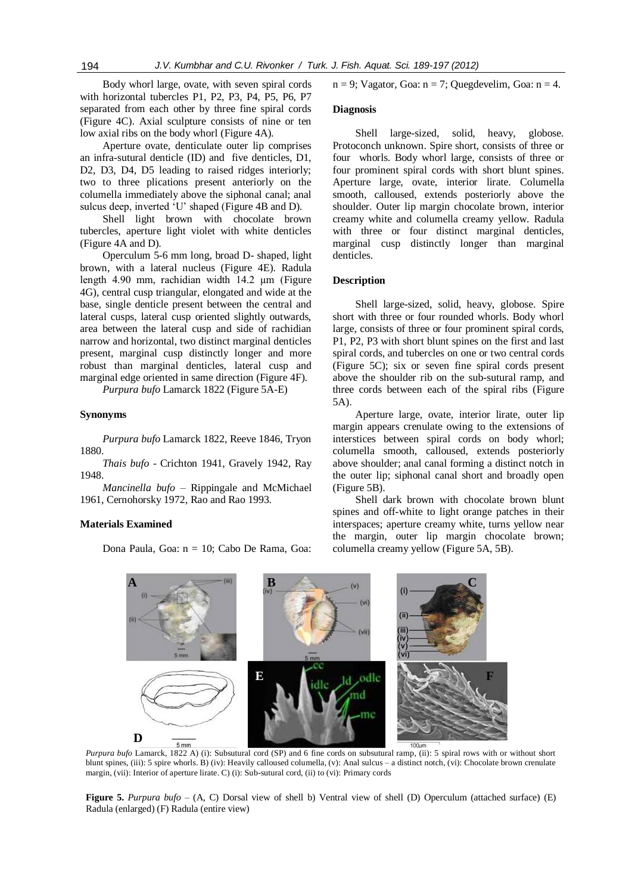Body whorl large, ovate, with seven spiral cords with horizontal tubercles P1, P2, P3, P4, P5, P6, P7 separated from each other by three fine spiral cords (Figure 4C). Axial sculpture consists of nine or ten low axial ribs on the body whorl (Figure 4A).

Aperture ovate, denticulate outer lip comprises an infra-sutural denticle (ID) and five denticles, D1, D2, D3, D4, D5 leading to raised ridges interiorly; two to three plications present anteriorly on the columella immediately above the siphonal canal; anal sulcus deep, inverted 'U' shaped (Figure 4B and D).

Shell light brown with chocolate brown tubercles, aperture light violet with white denticles (Figure 4A and D).

Operculum 5-6 mm long, broad D- shaped, light brown, with a lateral nucleus (Figure 4E). Radula length 4.90 mm, rachidian width 14.2 µm (Figure 4G), central cusp triangular, elongated and wide at the base, single denticle present between the central and lateral cusps, lateral cusp oriented slightly outwards, area between the lateral cusp and side of rachidian narrow and horizontal, two distinct marginal denticles present, marginal cusp distinctly longer and more robust than marginal denticles, lateral cusp and marginal edge oriented in same direction (Figure 4F).

*Purpura bufo* Lamarck 1822 (Figure 5A-E)

### **Synonyms**

*Purpura bufo* Lamarck 1822, Reeve 1846, Tryon 1880.

*Thais bufo -* Crichton 1941, Gravely 1942, Ray 1948.

*Mancinella bufo* – Rippingale and McMichael 1961, Cernohorsky 1972, Rao and Rao 1993.

#### **Materials Examined**

Dona Paula, Goa: n = 10; Cabo De Rama, Goa:

 $n = 9$ ; Vagator, Goa:  $n = 7$ ; Quegdevelim, Goa:  $n = 4$ .

#### **Diagnosis**

Shell large-sized, solid, heavy, globose. Protoconch unknown. Spire short, consists of three or four whorls. Body whorl large, consists of three or four prominent spiral cords with short blunt spines. Aperture large, ovate, interior lirate. Columella smooth, calloused, extends posteriorly above the shoulder. Outer lip margin chocolate brown, interior creamy white and columella creamy yellow. Radula with three or four distinct marginal denticles, marginal cusp distinctly longer than marginal denticles.

#### **Description**

Shell large-sized, solid, heavy, globose. Spire short with three or four rounded whorls. Body whorl large, consists of three or four prominent spiral cords, P1, P2, P3 with short blunt spines on the first and last spiral cords, and tubercles on one or two central cords (Figure 5C); six or seven fine spiral cords present above the shoulder rib on the sub-sutural ramp, and three cords between each of the spiral ribs (Figure 5A).

Aperture large, ovate, interior lirate, outer lip margin appears crenulate owing to the extensions of interstices between spiral cords on body whorl; columella smooth, calloused, extends posteriorly above shoulder; anal canal forming a distinct notch in the outer lip; siphonal canal short and broadly open (Figure 5B).

Shell dark brown with chocolate brown blunt spines and off-white to light orange patches in their interspaces; aperture creamy white, turns yellow near the margin, outer lip margin chocolate brown; columella creamy yellow (Figure 5A, 5B).



*Purpura bufo* Lamarck, 1822 A) (i): Subsutural cord (SP) and 6 fine cords on subsutural ramp, (ii): 5 spiral rows with or without short blunt spines, (iii): 5 spire whorls. B) (iv): Heavily calloused columella, (v): Anal sulcus – a distinct notch, (vi): Chocolate brown crenulate margin, (vii): Interior of aperture lirate. C) (i): Sub-sutural cord, (ii) to (vi): Primary cords

**Figure 5.** *Purpura bufo* – (A, C) Dorsal view of shell b) Ventral view of shell (D) Operculum (attached surface) (E) Radula (enlarged) (F) Radula (entire view)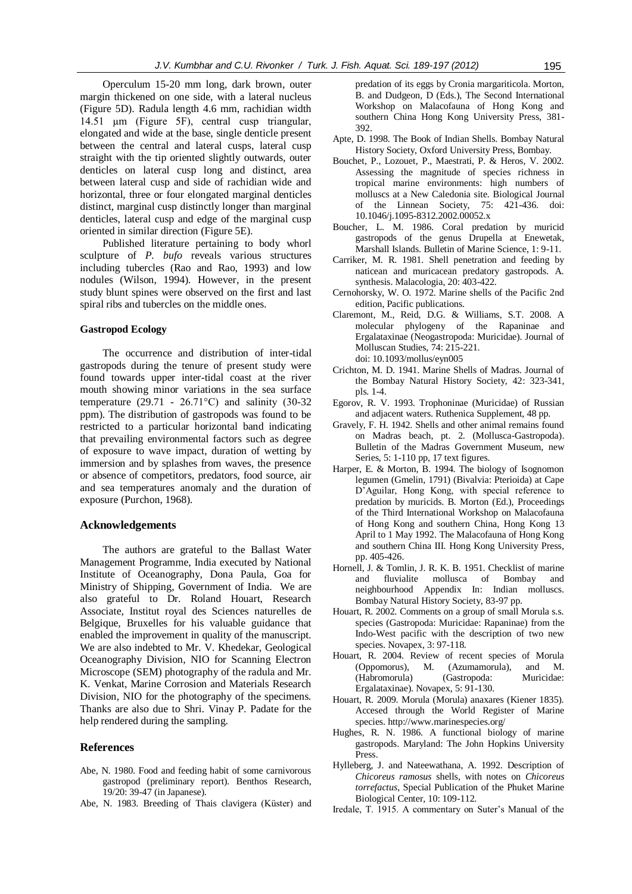Operculum 15-20 mm long, dark brown, outer margin thickened on one side, with a lateral nucleus (Figure 5D). Radula length 4.6 mm, rachidian width 14.51 µm (Figure 5F), central cusp triangular, elongated and wide at the base, single denticle present between the central and lateral cusps, lateral cusp straight with the tip oriented slightly outwards, outer denticles on lateral cusp long and distinct, area between lateral cusp and side of rachidian wide and horizontal, three or four elongated marginal denticles distinct, marginal cusp distinctly longer than marginal denticles, lateral cusp and edge of the marginal cusp oriented in similar direction (Figure 5E).

Published literature pertaining to body whorl sculpture of *P. bufo* reveals various structures including tubercles (Rao and Rao, 1993) and low nodules (Wilson, 1994). However, in the present study blunt spines were observed on the first and last spiral ribs and tubercles on the middle ones.

#### **Gastropod Ecology**

The occurrence and distribution of inter-tidal gastropods during the tenure of present study were found towards upper inter-tidal coast at the river mouth showing minor variations in the sea surface temperature (29.71 - 26.71 $^{\circ}$ C) and salinity (30-32) ppm). The distribution of gastropods was found to be restricted to a particular horizontal band indicating that prevailing environmental factors such as degree of exposure to wave impact, duration of wetting by immersion and by splashes from waves, the presence or absence of competitors, predators, food source, air and sea temperatures anomaly and the duration of exposure (Purchon, 1968).

#### **Acknowledgements**

The authors are grateful to the Ballast Water Management Programme, India executed by National Institute of Oceanography, Dona Paula, Goa for Ministry of Shipping, Government of India. We are also grateful to Dr. Roland Houart, Research Associate, Institut royal des Sciences naturelles de Belgique, Bruxelles for his valuable guidance that enabled the improvement in quality of the manuscript. We are also indebted to Mr. V. Khedekar, Geological Oceanography Division, NIO for Scanning Electron Microscope (SEM) photography of the radula and Mr. K. Venkat, Marine Corrosion and Materials Research Division, NIO for the photography of the specimens. Thanks are also due to Shri. Vinay P. Padate for the help rendered during the sampling.

### **References**

- Abe, N. 1980. Food and feeding habit of some carnivorous gastropod (preliminary report). Benthos Research, 19/20: 39-47 (in Japanese).
- Abe, N. 1983. Breeding of Thais clavigera (Küster) and

predation of its eggs by Cronia margariticola. Morton, B. and Dudgeon, D (Eds.), The Second International Workshop on Malacofauna of Hong Kong and southern China Hong Kong University Press, 381- 392.

- Apte, D. 1998. The Book of Indian Shells. Bombay Natural History Society, Oxford University Press, Bombay.
- Bouchet, P., Lozouet, P., Maestrati, P. & Heros, V. 2002. Assessing the magnitude of species richness in tropical marine environments: high numbers of molluscs at a New Caledonia site. Biological Journal of the Linnean Society, 75: 421-436. doi: 10.1046/j.1095-8312.2002.00052.x
- Boucher, L. M. 1986. Coral predation by muricid gastropods of the genus Drupella at Enewetak, Marshall Islands. Bulletin of Marine Science, 1: 9-11.
- Carriker, M. R. 1981. Shell penetration and feeding by naticean and muricacean predatory gastropods. A. synthesis. Malacologia, 20: 403-422.
- Cernohorsky, W. O. 1972. Marine shells of the Pacific 2nd edition, Pacific publications.
- Claremont, M., Reid, D.G. & Williams, S.T. 2008. A molecular phylogeny of the Rapaninae and Ergalataxinae (Neogastropoda: Muricidae). Journal of Molluscan Studies, 74: 215-221. doi: 10.1093/mollus/eyn005
- Crichton, M. D. 1941. Marine Shells of Madras. Journal of the Bombay Natural History Society, 42: 323-341, pls. 1-4.
- Egorov, R. V. 1993. Trophoninae (Muricidae) of Russian and adjacent waters. Ruthenica Supplement, 48 pp.
- Gravely, F. H. 1942. Shells and other animal remains found on Madras beach, pt. 2. (Mollusca-Gastropoda). Bulletin of the Madras Government Museum, new Series, 5: 1-110 pp, 17 text figures.
- Harper, E. & Morton, B. 1994. The biology of Isognomon legumen (Gmelin, 1791) (Bivalvia: Pterioida) at Cape D'Aguilar, Hong Kong, with special reference to predation by muricids. B. Morton (Ed.), Proceedings of the Third International Workshop on Malacofauna of Hong Kong and southern China, Hong Kong 13 April to 1 May 1992. The Malacofauna of Hong Kong and southern China III. Hong Kong University Press, pp. 405-426.
- Hornell, J. & Tomlin, J. R. K. B. 1951. Checklist of marine and fluvialite mollusca of Bombay and neighbourhood Appendix In: Indian molluscs. Bombay Natural History Society, 83-97 pp.
- Houart, R. 2002. Comments on a group of small Morula s.s. species (Gastropoda: Muricidae: Rapaninae) from the Indo-West pacific with the description of two new species. Novapex, 3: 97-118.
- Houart, R. 2004. Review of recent species of Morula (Oppomorus), M. (Azumamorula), and M. (Habromorula) (Gastropoda: Muricidae: Ergalataxinae). Novapex, 5: 91-130.
- Houart, R. 2009. Morula (Morula) anaxares (Kiener 1835). Accesed through the World Register of Marine species. http://www.marinespecies.org/
- Hughes, R. N. 1986. A functional biology of marine gastropods. Maryland: The John Hopkins University Press.
- Hylleberg, J. and Nateewathana, A. 1992. Description of *Chicoreus ramosus* shells, with notes on *Chicoreus torrefactus,* Special Publication of the Phuket Marine Biological Center, 10: 109-112.
- Iredale, T. 1915. A commentary on Suter's Manual of the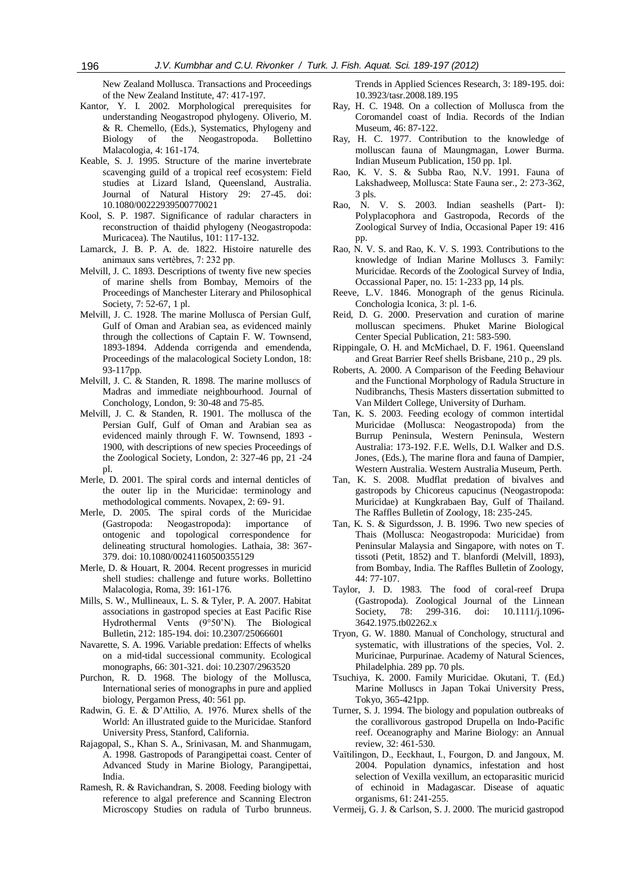New Zealand Mollusca. Transactions and Proceedings of the New Zealand Institute, 47: 417-197.

- Kantor, Y. I. 2002. Morphological prerequisites for understanding Neogastropod phylogeny. Oliverio, M. & R. Chemello, (Eds.), Systematics, Phylogeny and Biology of the Neogastropoda. Bollettino Malacologia, 4: 161-174.
- Keable, S. J. 1995. Structure of the marine invertebrate scavenging guild of a tropical reef ecosystem: Field studies at Lizard Island, Queensland, Australia. Journal of Natural History 29: 27-45. doi: 10.1080/00222939500770021
- Kool, S. P. 1987. Significance of radular characters in reconstruction of thaidid phylogeny (Neogastropoda: Muricacea). The Nautilus, 101: 117-132.
- Lamarck, J. B. P. A. de. 1822. Histoire naturelle des animaux sans vertèbres, 7: 232 pp.
- Melvill, J. C. 1893. Descriptions of twenty five new species of marine shells from Bombay, Memoirs of the Proceedings of Manchester Literary and Philosophical Society, 7: 52-67, 1 pl.
- Melvill, J. C. 1928. The marine Mollusca of Persian Gulf, Gulf of Oman and Arabian sea, as evidenced mainly through the collections of Captain F. W. Townsend, 1893-1894. Addenda corrigenda and emendenda, Proceedings of the malacological Society London, 18: 93-117pp.
- Melvill, J. C. & Standen, R. 1898. The marine molluscs of Madras and immediate neighbourhood. Journal of Conchology, London, 9: 30-48 and 75-85.
- Melvill, J. C. & Standen, R. 1901. The mollusca of the Persian Gulf, Gulf of Oman and Arabian sea as evidenced mainly through F. W. Townsend, 1893 - 1900, with descriptions of new species Proceedings of the Zoological Society, London, 2: 327-46 pp, 21 -24 pl.
- Merle, D. 2001. The spiral cords and internal denticles of the outer lip in the Muricidae: terminology and methodological comments. Novapex, 2: 69- 91.
- Merle, D. 2005. The spiral cords of the Muricidae (Gastropoda: Neogastropoda): importance of ontogenic and topological correspondence for delineating structural homologies. Lathaia, 38: 367- 379. doi: 10.1080/00241160500355129
- Merle, D. & Houart, R. 2004. Recent progresses in muricid shell studies: challenge and future works. Bollettino Malacologia, Roma, 39: 161-176.
- Mills, S. W., Mullineaux, L. S. & Tyler, P. A. 2007. Habitat associations in gastropod species at East Pacific Rise Hydrothermal Vents (9°50'N). The Biological Bulletin, 212: 185-194. doi: 10.2307/25066601
- Navarette, S. A. 1996. Variable predation: Effects of whelks on a mid-tidal successional community. Ecological monographs, 66: 301-321. doi: 10.2307/2963520
- Purchon, R. D. 1968. The biology of the Mollusca, International series of monographs in pure and applied biology, Pergamon Press, 40: 561 pp.
- Radwin, G. E. & D'Attilio, A. 1976. Murex shells of the World: An illustrated guide to the Muricidae. Stanford University Press, Stanford, California.
- Rajagopal, S., Khan S. A., Srinivasan, M. and Shanmugam, A. 1998. Gastropods of Parangipettai coast. Center of Advanced Study in Marine Biology, Parangipettai, India.
- Ramesh, R. & Ravichandran, S. 2008. Feeding biology with reference to algal preference and Scanning Electron Microscopy Studies on radula of Turbo brunneus.

Trends in Applied Sciences Research, 3: 189-195. doi: 10.3923/tasr.2008.189.195

- Ray, H. C. 1948. On a collection of Mollusca from the Coromandel coast of India. Records of the Indian Museum, 46: 87-122.
- Ray, H. C. 1977. Contribution to the knowledge of molluscan fauna of Maungmagan, Lower Burma. Indian Museum Publication, 150 pp. 1pl.
- Rao, K. V. S. & Subba Rao, N.V. 1991. Fauna of Lakshadweep, Mollusca: State Fauna ser., 2: 273-362, 3 pls.
- Rao, N. V. S. 2003. Indian seashells (Part- I): Polyplacophora and Gastropoda, Records of the Zoological Survey of India, Occasional Paper 19: 416 pp.
- Rao, N. V. S. and Rao, K. V. S. 1993. Contributions to the knowledge of Indian Marine Molluscs 3. Family: Muricidae. Records of the Zoological Survey of India, Occassional Paper, no. 15: 1-233 pp, 14 pls.
- Reeve, L.V. 1846. Monograph of the genus Ricinula. Conchologia Iconica, 3: pl. 1-6.
- Reid, D. G. 2000. Preservation and curation of marine molluscan specimens. Phuket Marine Biological Center Special Publication, 21: 583-590.
- Rippingale, O. H. and McMichael, D. F. 1961. Queensland and Great Barrier Reef shells Brisbane, 210 p., 29 pls.
- Roberts, A. 2000. A Comparison of the Feeding Behaviour and the Functional Morphology of Radula Structure in Nudibranchs, Thesis Masters dissertation submitted to Van Mildert College, University of Durham.
- Tan, K. S. 2003. Feeding ecology of common intertidal Muricidae (Mollusca: Neogastropoda) from the Burrup Peninsula, Western Peninsula, Western Australia: 173-192. F.E. Wells, D.I. Walker and D.S. Jones, (Eds.), The marine flora and fauna of Dampier, Western Australia. Western Australia Museum, Perth.
- Tan, K. S. 2008. Mudflat predation of bivalves and gastropods by Chicoreus capucinus (Neogastropoda: Muricidae) at Kungkrabaen Bay, Gulf of Thailand. The Raffles Bulletin of Zoology, 18: 235-245.
- Tan, K. S. & Sigurdsson, J. B. 1996. Two new species of Thais (Mollusca: Neogastropoda: Muricidae) from Peninsular Malaysia and Singapore, with notes on T. tissoti (Petit, 1852) and T. blanfordi (Melvill, 1893), from Bombay, India. The Raffles Bulletin of Zoology, 44: 77-107.
- Taylor, J. D. 1983. The food of coral-reef Drupa (Gastropoda). Zoological Journal of the Linnean Society, 78: 299-316. doi: 10.1111/j.1096-3642.1975.tb02262.x
- Tryon, G. W. 1880. Manual of Conchology, structural and systematic, with illustrations of the species, Vol. 2. Muricinae, Purpurinae. Academy of Natural Sciences, Philadelphia. 289 pp. 70 pls.
- Tsuchiya, K. 2000. Family Muricidae. Okutani, T. (Ed.) Marine Molluscs in Japan Tokai University Press, Tokyo, 365-421pp.
- Turner, S. J. 1994. The biology and population outbreaks of the corallivorous gastropod Drupella on Indo-Pacific reef. Oceanography and Marine Biology: an Annual review, 32: 461-530.
- Vaïtilingon, D., Eeckhaut, I., Fourgon, D. and Jangoux, M. 2004. Population dynamics, infestation and host selection of Vexilla vexillum, an ectoparasitic muricid of echinoid in Madagascar. Disease of aquatic organisms, 61: 241-255.
- Vermeij, G. J. & Carlson, S. J. 2000. The muricid gastropod